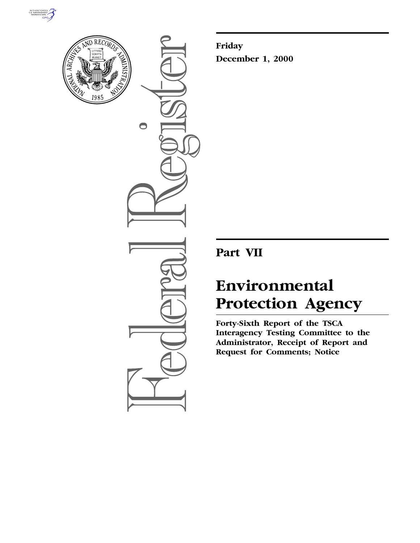



 $\bigcirc$ 

**Friday December 1, 2000**

**Part VII**

# **Environmental Protection Agency**

**Forty-Sixth Report of the TSCA Interagency Testing Committee to the Administrator, Receipt of Report and Request for Comments; Notice**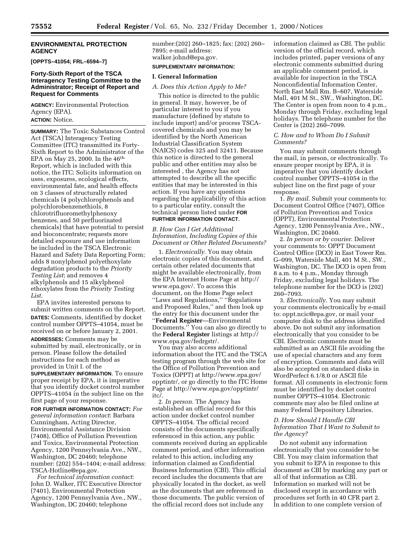#### **ENVIRONMENTAL PROTECTION AGENCY**

**[OPPTS–41054; FRL–6594–7]**

#### **Forty-Sixth Report of the TSCA Interagency Testing Committee to the Administrator; Receipt of Report and Request for Comments**

**AGENCY:** Environmental Protection Agency (EPA).

**ACTION:** Notice.

**SUMMARY:** The Toxic Substances Control Act (TSCA) Interagency Testing Committee (ITC) transmitted its Forty-Sixth Report to the Administrator of the EPA on May 25, 2000. In the  $46<sup>th</sup>$ Report, which is included with this notice, the ITC: Solicits information on uses, exposures, ecological effects, environmental fate, and health effects on 3 classes of structurally related chemicals (4 polychlorophenols and polychlorobenzenethiols, 8 chlorotrifluoromethylphenoxy benzenes, and 50 perfluorinated chemicals) that have potential to persist and bioconcentrate; requests more detailed exposure and use information be included in the TSCA Electronic Hazard and Safety Data Reporting Form; adds 8 nonylphenol polyethoxylate degradation products to the *Priority Testing List*; and removes 4 alkylphenols and 15 alkylphenol ethoxylates from the *Priority Testing List*.

EPA invites interested persons to submit written comments on the Report. **DATES:** Comments, identified by docket control number OPPTS–41054, must be received on or before January 2, 2001. **ADDRESSES:** Comments may be submitted by mail, electronically, or in person. Please follow the detailed instructions for each method as provided in Unit I. of the **SUPPLEMENTARY INFORMATION**. To ensure proper receipt by EPA, it is imperative that you identify docket control number OPPTS–41054 in the subject line on the

first page of your response. **FOR FURTHER INFORMATION CONTACT:** *For general information contact*: Barbara Cunningham, Acting Director, Environmental Assistance Division (7408), Office of Pollution Prevention and Toxics, Environmental Protection Agency, 1200 Pennsylvania Ave., NW., Washington, DC 20460; telephone number: (202) 554–1404; e-mail address: TSCA-Hotline@epa.gov.

*For technical information contact*: John D. Walker, ITC Executive Director (7401), Environmental Protection Agency, 1200 Pennsylvania Ave., NW., Washington, DC 20460; telephone

number:(202) 260–1825; fax: (202) 260– 7895; e-mail address: walker.johnd@epa.gov.

# **SUPPLEMENTARY INFORMATION:**

#### **I. General Information**

# *A. Does this Action Apply to Me?*

This notice is directed to the public in general. It may, however, be of particular interest to you if you manufacture (defined by statute to include import) and/or process TSCAcovered chemicals and you may be identified by the North American Industrial Classification System (NAICS) codes 325 and 32411. Because this notice is directed to the general public and other entities may also be interested , the Agency has not attempted to describe all the specific entities that may be interested in this action. If you have any questions regarding the applicability of this action to a particular entity, consult the technical person listed under **FOR FURTHER INFORMATION CONTACT**.

*B. How Can I Get Additional Information, Including Copies of this Document or Other Related Documents?*

1. *Electronically*. You may obtain electronic copies of this document, and certain other related documents that might be available electronically, from the EPA Internet Home Page at http:// www.epa.gov/. To access this document, on the Home Page select ''Laws and Regulations,'' ''Regulations and Proposed Rules,'' and then look up the entry for this document under the ''**Federal Register**—Environmental Documents.'' You can also go directly to the **Federal Register** listings at http:// www.epa.gov/fedrgstr/.

You may also access additional information about the ITC and the TSCA testing program through the web site for the Office of Pollution Prevention and Toxics (OPPT) at http://www.epa.gov/ opptintr/, or go directly to the ITC Home Page at http://www.epa.gov/opptintr/ itc/.

2. *In person*. The Agency has established an official record for this action under docket control number OPPTS–41054. The official record consists of the documents specifically referenced in this action, any public comments received during an applicable comment period, and other information related to this action, including any information claimed as Confidential Business Information (CBI). This official record includes the documents that are physically located in the docket, as well as the documents that are referenced in those documents. The public version of the official record does not include any

information claimed as CBI. The public version of the official record, which includes printed, paper versions of any electronic comments submitted during an applicable comment period, is available for inspection in the TSCA Nonconfidential Information Center, North East Mall Rm. B–607, Waterside Mall, 401 M St., SW., Washington, DC. The Center is open from noon to 4 p.m., Monday through Friday, excluding legal holidays. The telephone number for the Center is (202) 260–7099.

## *C. How and to Whom Do I Submit Comments?*

You may submit comments through the mail, in person, or electronically. To ensure proper receipt by EPA, it is imperative that you identify docket control number OPPTS–41054 in the subject line on the first page of your response.

1. *By mail*. Submit your comments to: Document Control Office (7407), Office of Pollution Prevention and Toxics (OPPT), Environmental Protection Agency, 1200 Pennsylvania Ave., NW., Washington, DC 20460.

2. *In person or by courier*. Deliver your comments to: OPPT Document Control Office (DCO) in East Tower Rm. G–099, Waterside Mall, 401 M St., SW., Washington, DC. The DCO is open from 8 a.m. to 4 p.m., Monday through Friday, excluding legal holidays. The telephone number for the DCO is (202) 260–7093.

3. *Electronically*. You may submit your comments electronically by e-mail to: oppt.ncic@epa.gov, or mail your computer disk to the address identified above. Do not submit any information electronically that you consider to be CBI. Electronic comments must be submitted as an ASCII file avoiding the use of special characters and any form of encryption. Comments and data will also be accepted on standard disks in WordPerfect 6.1/8.0 or ASCII file format. All comments in electronic form must be identified by docket control number OPPTS–41054. Electronic comments may also be filed online at many Federal Depository Libraries.

### *D. How Should I Handle CBI Information That I Want to Submit to the Agency?*

Do not submit any information electronically that you consider to be CBI. You may claim information that you submit to EPA in response to this document as CBI by marking any part or all of that information as CBI. Information so marked will not be disclosed except in accordance with procedures set forth in 40 CFR part 2. In addition to one complete version of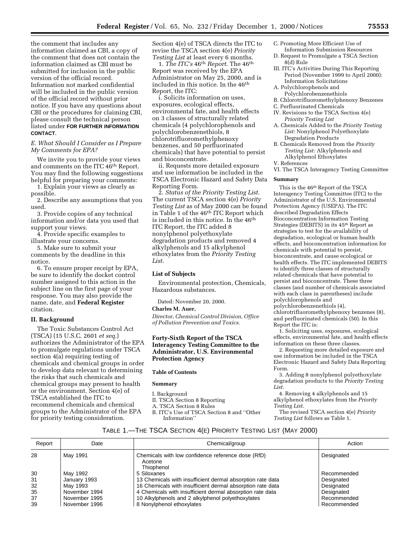the comment that includes any information claimed as CBI, a copy of the comment that does not contain the information claimed as CBI must be submitted for inclusion in the public version of the official record. Information not marked confidential will be included in the public version of the official record without prior notice. If you have any questions about CBI or the procedures for claiming CBI, please consult the technical person listed under **FOR FURTHER INFORMATION CONTACT**.

#### *E. What Should I Consider as I Prepare My Comments for EPA?*

We invite you to provide your views and comments on the ITC 46th Report. You may find the following suggestions helpful for preparing your comments:

1. Explain your views as clearly as possible.

2. Describe any assumptions that you used.

3. Provide copies of any technical information and/or data you used that support your views.

4. Provide specific examples to illustrate your concerns.

5. Make sure to submit your comments by the deadline in this notice.

6. To ensure proper receipt by EPA, be sure to identify the docket control number assigned to this action in the subject line on the first page of your response. You may also provide the name, date, and **Federal Register** citation.

#### **II. Background**

The Toxic Substances Control Act (TSCA) (15 U.S.C. 2601 *et seq*.) authorizes the Administrator of the EPA to promulgate regulations under TSCA section 4(a) requiring testing of chemicals and chemical groups in order to develop data relevant to determining the risks that such chemicals and chemical groups may present to health or the environment. Section 4(e) of TSCA established the ITC to recommend chemicals and chemical groups to the Administrator of the EPA for priority testing consideration.

Section 4(e) of TSCA directs the ITC to revise the TSCA section 4(e) *Priority Testing List* at least every 6 months.

1. *The ITC's* 46th *Report*. The 46th Report was received by the EPA Administrator on May 25, 2000, and is included in this notice. In the 46<sup>th</sup> Report, the ITC:

i. Solicits information on uses, exposures, ecological effects, environmental fate, and health effects on 3 classes of structurally related chemicals (4 polychlorophenols and polychlorobenzenethiols, 8 chlorotrifluoromethylphenoxy benzenes, and 50 perfluorinated chemicals) that have potential to persist and bioconcentrate.

ii. Requests more detailed exposure and use information be included in the TSCA Electronic Hazard and Safety Data Reporting Form.

2. *Status of the Priority Testing List*. The current TSCA section 4(e) *Priority Testing List* as of May 2000 can be found in Table 1 of the 46th ITC Report which is included in this notice. In the 46th ITC Report, the ITC added 8 nonylphenol polyethoxylate degradation products and removed 4 alkylphenols and 15 alkylphenol ethoxylates from the *Priority Testing List*.

#### **List of Subjects**

Environmental protection, Chemicals, Hazardous substances.

Dated: November 20, 2000.

#### **Charles M. Auer,**

*Director, Chemical Control Division, Office of Pollution Prevention and Toxics.*

## **Forty-Sixth Report of the TSCA Interagency Testing Committee to the Administrator, U.S. Environmental Protection Agency**

#### **Table of Contents**

## **Summary**

- I. Background
- II. TSCA Section 8 Reporting
- A. TSCA Section 8 Rules
- 
- B. ITC's Use of TSCA Section 8 and ''Other Information''
- C. Promoting More Efficient Use of Information Submission Resources
- D. Request to Promulgate a TSCA Section 8(d) Rule
- III. ITC's Activities During This Reporting Period (November 1999 to April 2000): Information Solicitations
- A. Polychlorophenols and
- Polychlorobenzenethiols
- B. Chlorotrifluoromethylphenoxy Benzenes
- C. Perfluorinated Chemicals
- IV. Revisions to the TSCA Section 4(e) *Priority Testing List*
- A. Chemicals Added to the *Priority Testing List:* Nonylphenol Polyethoxylate Degradation Products
- B. Chemicals Removed from the *Priority Testing List:* Alkylphenols and Alkylphenol Ethoxylates
- V. References
- VI. The TSCA Interagency Testing Committee

#### **Summary**

This is the 46th Report of the TSCA Interagency Testing Committee (ITC) to the Administrator of the U.S. Environmental Protection Agency (USEPA). The ITC described Degradation Effects Bioconcentration Information Testing Strategies (DEBITS) in its 45th Report as strategies to test for the availability of degradation, ecological or human health effects, and bioconcentration information for chemicals with potential to persist, bioconcentrate, and cause ecological or health effects. The ITC implemented DEBITS to identify three classes of structurally related chemicals that have potential to persist and bioconcentrate. These three classes (and number of chemicals associated with each class in parentheses) include polychlorophenols and polychlorobenzenethiols (4), chlorotrifluoromethylphenoxy benzenes (8), and perfluorinated chemicals (50). In this

Report the ITC is:

1. Soliciting uses, exposures, ecological effects, environmental fate, and health effects information on these three classes.

2. Requesting more detailed exposure and use information be included in the TSCA Electronic Hazard and Safety Data Reporting Form.

3. Adding 8 nonylphenol polyethoxylate degradation products to the *Priority Testing List*.

4. Removing 4 alkylphenols and 15 alkylphenol ethoxylates from the *Priority Testing List*.

The revised TSCA section 4(e) *Priority Testing List* follows as Table 1.

# TABLE 1.—THE TSCA SECTION 4(E) PRIORITY TESTING LIST (MAY 2000)

| Report | Date          | Chemical/group                                                              | Action      |
|--------|---------------|-----------------------------------------------------------------------------|-------------|
| 28     | May 1991      | Chemicals with low confidence reference dose (RfD)<br>Acetone<br>Thiophenol | Designated  |
| 30     | May 1992      | 5 Siloxanes                                                                 | Recommended |
| 31     | January 1993  | 13 Chemicals with insufficient dermal absorption rate data                  | Designated  |
| 32     | May 1993      | 16 Chemicals with insufficient dermal absorption rate data                  | Designated  |
| 35     | November 1994 | 4 Chemicals with insufficient dermal absorption rate data                   | Designated  |
| 37     | November 1995 | 10 Alkylphenols and 2 alkylphenol polyethoxylates                           | Recommended |
| 39     | November 1996 | 8 Nonylphenol ethoxylates                                                   | Recommended |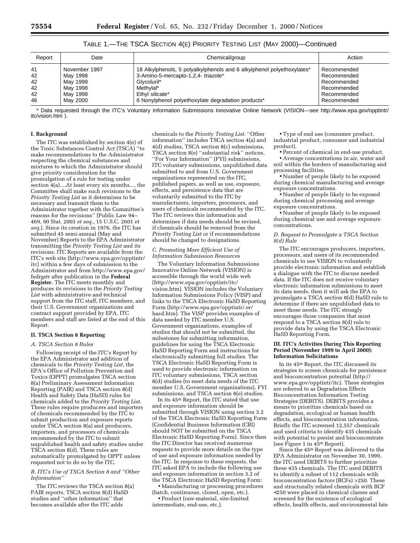| Report | Date          | Chemical/group                                                         | Action      |
|--------|---------------|------------------------------------------------------------------------|-------------|
| 41     | November 1997 | 18 Alkylphenols, 5 polyalkylphenols and 6 alkylphenol polyethoxylates* | Recommended |
| 42     | Mav 1998      | 3-Amino-5-mercapto-1,2,4-triazole*                                     | Recommended |
| 42     | Mav 1998      | Glycoluril*                                                            | Recommended |
| 42     | May 1998      | Methylal*                                                              | Recommended |
| 42     | May 1998      | Ethyl silicate*                                                        | Recommended |
| 46     | May 2000      | 8 Nonylphenol polyethoxylate degradation products*                     | Recommended |

TABLE 1.—THE TSCA SECTION 4(E) PRIORITY TESTING LIST (MAY 2000)—Continued

\* Data requested through the ITC's Voluntary Information Submissions Innovative Online Network (VISION—see http://www.epa.gov/opptintr/ itc/vision.htm ).

#### **I. Background**

The ITC was established by section 4(e) of the Toxic Substances Control Act (TSCA) ''to make recommendations to the Administrator respecting the chemical substances and mixtures to which the Administrator should give priority consideration for the promulgation of a rule for testing under section 4(a)....At least every six months..., the Committee shall make such revisions to the *Priority Testing List* as it determines to be necessary and transmit them to the Administrator together with the Committee's reasons for the revisions'' (Public Law 94– 469, 90 Stat. 2003 *et seq*., 15 U.S.C. 2601 *et seq*.). Since its creation in 1976, the ITC has submitted 45 semi-annual (May and November) Reports to the EPA Administrator transmitting the *Priority Testing List* and its revisions. ITC Reports are available from the ITC's web site (http://www.epa.gov/opptintr/ itc) within a few days of submission to the Administrator and from http://www.epa.gov/ fedrgstr after publication in the **Federal Register**. The ITC meets monthly and produces its revisions to the *Priority Testing List* with administrative and technical support from the ITC staff, ITC members, and their U.S. Government organizations and contract support provided by EPA. ITC members and staff are listed at the end of this Report.

#### **II. TSCA Section 8 Reporting**

#### *A. TSCA Section 8 Rules*

Following receipt of the ITC's Report by the EPA Administrator and addition of chemicals to the *Priority Testing List*, the EPA's Office of Pollution Prevention and Toxics (OPPT) promulgates TSCA section 8(a) Preliminary Assessment Information Reporting (PAIR) and TSCA section 8(d) Health and Safety Data (HaSD) rules for chemicals added to the *Priority Testing List*. These rules require producers and importers of chemicals recommended by the ITC to submit production and exposure reports under TSCA section 8(a) and producers, importers, and processors of chemicals recommended by the ITC to submit unpublished health and safety studies under TSCA section 8(d). These rules are automatically promulgated by OPPT unless requested not to do so by the ITC.

## *B. ITC's Use of TSCA Section 8 and ''Other Information''*

The ITC reviews the TSCA section 8(a) PAIR reports, TSCA section 8(d) HaSD studies and ''other information'' that becomes available after the ITC adds

chemicals to the *Priority Testing List*. ''Other information'' includes TSCA section 4(a) and 4(d) studies, TSCA section 8(c) submissions, TSCA section 8(e) ''substantial risk'' notices, ''For Your Information'' (FYI) submissions, ITC voluntary submissions, unpublished data submitted to and from U.S. Government organizations represented on the ITC, published papers, as well as use, exposure, effects, and persistence data that are voluntarily submitted to the ITC by manufacturers, importers, processors, and users of chemicals recommended by the ITC. The ITC reviews this information and determines if data needs should be revised if chemicals should be removed from the *Priority Testing List* or if recommendations should be changed to designations.

#### *C. Promoting More Efficient Use of Information Submission Resources*

The Voluntary Information Submissions Innovative Online Network (VISION) is accessible through the world wide web (http://www.epa.gov/opptintr/itc/ vision.htm). VISION includes the Voluntary Information Submissions Policy (VISP) and links to the TSCA Electronic HaSD Reporting Form (http://www.epa.gov/opptintr/.er/ hasd.htm). The VISP provides examples of data needed by ITC member U.S. Government organizations, examples of studies that should not be submitted, the milestones for submitting information, guidelines for using the TSCA Electronic HaSD Reporting Form and instructions for electronically submitting full studies. The TSCA Electronic HaSD Reporting Form is used to provide electronic information on ITC voluntary submissions, TSCA section 8(d) studies (to meet data needs of the ITC member U.S. Government organizations), FYI submissions, and TSCA section 8(e) studies.

In its 45th Report, the ITC stated that use and exposure information should be submitted through VISION using section 3.2 of the TSCA Electronic HaSD Reporting Form (Confidential Business Information (CBI) should NOT be submitted on the TSCA Electronic HaSD Reporting Form). Since then the ITC Director has received numerous requests to provide more details on the type of use and exposure information needed by the ITC. In response to these requests, the ITC asked EPA to include the following use and exposure information in section 3.2 of the TSCA Electronic HaSD Reporting Form:

• Manufacturing or processing procedures (batch, continuous, closed, open, etc.).

• Product (raw-material, site-limited intermediate, end-use, etc.).

• Type of end use (consumer product, industrial product, consumer and industrial product).

• Percent of chemical in end-use product. • Average concentrations in air, water and soil within the borders of manufacturing and processing facilities.

• Number of people likely to be exposed during chemical manufacturing and average exposure concentrations.

• Number of people likely to be exposed during chemical processing and average exposure concentrations.

• Number of people likely to be exposed during chemical use and average exposure concentrations.

#### *D. Request to Promulgate a TSCA Section 8(d) Rule*

The ITC encourages producers, importers, processors, and users of its recommended chemicals to use VISION to voluntarily provide electronic information and establish a dialogue with the ITC to discuss needed data. If the ITC does not receive voluntary electronic information submissions to meet its data needs, then it will ask the EPA to promulgate a TSCA section 8(d) HaSD rule to determine if there are unpublished data to meet those needs. The ITC strongly encourages those companies that must respond to a TSCA section 8(d) rule to provide data by using the TSCA Electronic HaSD Reporting Form.

#### **III. ITC's Activities During This Reporting Period (November 1999 to April 2000): Information Solicitations**

In its 45th Report, the ITC discussed its strategies to screen chemicals for persistence and bioconcentration potential (http:// www.epa.gov/opptintr/itc). These strategies are referred to as Degradation Effects Bioconcentration Information Testing Strategies (DEBITS). DEBITS provides a means to prioritize chemicals based on degradation, ecological or human health effects, and bioconcentration information. Briefly the ITC screened 12,557 chemicals and used criteria to identify 435 chemicals with potential to persist and bioconcentrate (see Figure 1 in 45th Report).

Since the 45th Report was delivered to the EPA Administrator on November 30, 1999, the ITC used DEBITS to further prioritize these 435 chemicals. The ITC used DEBITS to identify a subset of 112 chemicals with bioconcentration factors (BCFs) >250. These and structurally related chemicals with BCF <250 were placed in chemical classes and screened for the existence of ecological effects, health effects, and environmental fate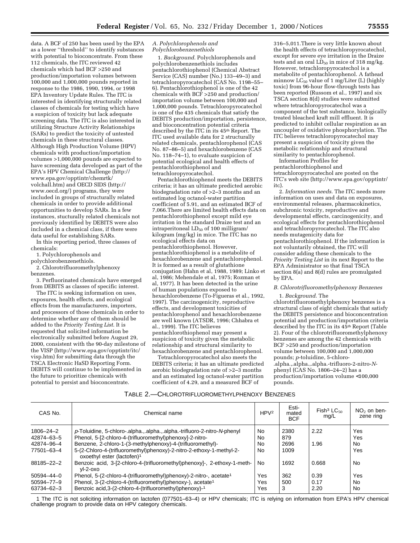data. A BCF of 250 has been used by the EPA as a lower ''threshold'' to identify substances with potential to bioconcentrate. From these 112 chemicals, the ITC reviewed 42 chemicals which had BCF >250 and production/importation volumes between 100,000 and 1,000,000 pounds reported in response to the 1986, 1990, 1994, or 1998 EPA Inventory Update Rules. The ITC is interested in identifying structurally related classes of chemicals for testing which have a suspicion of toxicity but lack adequate screening data. The ITC is also interested in utilizing Structure Activity Relationships (SARs) to predict the toxicity of untested chemicals in these structural classes. Although High Production Volume (HPV) chemicals with production/importation volumes >1,000,000 pounds are expected to have screening data developed as part of the EPA's HPV Chemical Challenge (http:// www.epa.gov/opptintr/chemrtk/ volchall.htm) and OECD SIDS (http:// www.oecd.org/) programs, they were included in groups of structurally related chemicals in order to provide additional opportunities to develop SARs. In a few instances, stucturally related chemicals not previously identified by DEBITS were also included in a chemical class, if there were data useful for establishing SARs.

In this reporting period, three classes of chemicals:

1. Polychlorophenols and

polychlorobenzenethiols.

2. Chlorotrifluoromethylphenoxy benzenes.

3. Perfluorinated chemicals have emerged from DEBITS as classes of specific interest.

The ITC is seeking information on uses, exposures, health effects, and ecological effects from the manufacturers, importers, and processors of those chemicals in order to determine whether any of them should be added to the *Priority Testing List*. It is requested that solicited information be electronically submitted before August 29, 2000, consistent with the 90-day milestone of the VISP (http://www.epa.gov/opptintr/itc/ visp.htm) for submitting data through the TSCA Electronic HaSD Reporting Form. DEBITS will continue to be implemented in the future to prioritize chemicals with potential to persist and bioconcentrate.

#### *A. Polychlorophenols and Polychlorobenzenethiols*

1. *Background*. Polychlorophenols and polychlorobenzenethiols includes pentachlorothiophenol (Chemical Abstract Service (CAS) number (No.) 133–49–3) and tetrachloropyrocatechol (CAS No. 1198–55– 6). Pentachlorothiophenol is one of the 42 chemicals with BCF >250 and production/ importation volume between 100,000 and 1,000,000 pounds. Tetrachloropyrocatechol is one of the 435 chemicals that satisfy the DEBITS production/importation, persistence, and bioconcentration potential criteria described by the ITC in its 45<sup>th</sup> Report. The ITC used available data for 2 structurally related chemicals, pentachlorophenol (CAS No. 87–86–5) and hexachlorobenzene (CAS No. 118–74–1), to evaluate suspicion of potential ecological and health effects of pentachlorothiophenol and tetrachloropyrocatechol.

Pentachlorothiophenol meets the DEBITS criteria; it has an ultimate predicted aerobic biodegradation rate of >2–3 months and an estimated log octanol-water partition coefficient of 5.91, and an estimated BCF of 7,066.There are limited health effects data on pentachlorothiophenol except mild eye irritation in the standard Draize test and an intraperitoneal  $LD_{50}$  of 100 milligram/ kilogram (mg/kg) in mice. The ITC has no ecological effects data on pentachlorothiophenol. However, pentachlorothiophenol is a metabolite of hexachlorobenzene and pentachlorophenol. It is formed as a result of glutathione conjugation (Hahn et al, 1988, 1989; Linko et al, 1986; Mehendale et al, 1975; Rozman et al, 1977). It has been detected in the urine of human populations exposed to hexachlorobenzene (To-Figueras et al., 1992, 1997). The carcinogenicity, reproductive effects, and development toxicities of pentachlorophenol and hexachlorobenzene are well known (ATSDR, 1996; Chhabra et al., 1999). The ITC believes pentachlorothiophenol may present a suspicion of toxicity given the metabolic relationship and structural similarity to hexachlorobenzene and pentachlorophenol.

Tetrachloropyrocatechol also meets the DEBITS criteria; it has an ultimate predicted aerobic biodegradation rate of >2–3 months and an estimated log octanol-water partition coefficient of 4.29, and a measured BCF of

316–5,011.There is very little known about the health effects of tetrachloropyrocatechol, except for severe eye irritation in the Draize tests and an oral  $LD_{50}$  in mice of 318 mg/kg. However, tetrachloropyrocatechol is a metabolite of pentachlorophenol. A fathead minnow  $LC_{50}$  value of 1 mg/Liter (L) (highly toxic) from 96-hour flow-through tests has been reported (Russom et al., 1997) and six TSCA section 8(d) studies were submitted where tetrachloropyrocatechol was a component of the test substance, biologically treated bleached kraft mill effluent. It is predicted to inhibit cellular respiration as an uncoupler of oxidative phosphorylation. The ITC believes tetrachloropyrocatechol may present a suspicion of toxicity given the metabolic relationship and structural similarity to pentachlorophenol.

Information Profiles for pentachlorothiophenol and tetrachloropyrocatechol are posted on the ITC's web site (http://www.epa.gov/opptintr/ itc).

2. *Information needs*. The ITC needs more information on uses and data on exposures, environmental releases, pharmacokinetics, subchronic toxicity, reproductive and developmental effects, carcinogenicity, and ecological effects for pentachlorothiophenol and tetrachloropyrocatechol. The ITC also needs mutagenicity data for pentachlorothiophenol. If the information is not voluntarily obtained, the ITC will consider adding these chemicals to the *Priority Testing List* in its next Report to the EPA Administrator so that final TSCA section 8(a) and 8(d) rules are promulgated by EPA.

*B. Chlorotrifluoromethylphenoxy Benzenes*

1. *Background*. The

chlorotrifluoromethylphenoxy benzenes is a structural class of eight chemicals that satisfy the DEBITS persistence and bioconcentration potential and production/importation criteria described by the ITC in its 45<sup>th</sup> Report (Table 2). Four of the chlorotrifluoromethylphenoxy benzenes are among the 42 chemicals with BCF >250 and production/importation volume between 100,000 and 1,000,000 pounds; *p*-toluidine, 5-chloro- .alpha.,.alpha.,.alpha.-trifluoro-2-nitro-*N*phenyl (CAS No. 1806–24–2) has a production/importation volume <100,000 pounds.

## TABLE 2.—CHLOROTRIFLUOROMETHYLPHENOXY BENZENES

| CAS No.          | Chemical name                                                                                                  | HPV <sup>2</sup> | Esti-<br>mated<br><b>BCF</b> | Fish <sup>3</sup> LC <sub>50</sub><br>mq/L | $NO2$ on ben-<br>zene ring |
|------------------|----------------------------------------------------------------------------------------------------------------|------------------|------------------------------|--------------------------------------------|----------------------------|
| 1806-24-2        | p-Toluidine, 5-chloro-.alphaalphaalpha.-trifluoro-2-nitro-N-phenyl                                             | No               | 2380                         | 2.22                                       | Yes                        |
| 42874-63-5       | Phenol, 5-[2-chloro-4-(trifluoromethyl)phenoxy]-2-nitro-                                                       | No               | 879                          |                                            | Yes                        |
| 42874-96-4       | Benzene, 2-chloro-1-(3-methylphenoxy)-4-(trifluoromethyl)-                                                     | No               | 2696                         | 1.96                                       | No                         |
| 77501-63-4       | 5-(2-Chloro-4-(trifluoromethyl)phenoxy)-2-nitro-2-ethoxy-1-methyl-2-<br>oxoethyl ester (lactofen) <sup>1</sup> | No               | 1009                         |                                            | Yes                        |
| 88185-22-2       | Benzoic acid, 3-[2-chloro-4-(trifluoromethyl)phenoxy]-, 2-ethoxy-1-meth-<br>$vl-2-0x0$                         | No.              | 1692                         | 0.668                                      | No.                        |
| $50594 - 44 - 0$ | Phenol, 5-(2-chloro-4-(trifluoromethyl)phenoxy)-2-nitro-, acetate <sup>1</sup>                                 | Yes              | 362                          | 0.39                                       | Yes                        |
| 50594-77-9       | Phenol, 3-(2-chloro-4-(trifluoromethyl)phenoxy-), acetate <sup>1</sup>                                         | Yes              | 500                          | 0.17                                       | No.                        |
| 63734-62-3       | Benzoic acid, 3-(2-chloro-4-(trifluoromethyl) phenoxy)-1                                                       | Yes              | 3                            | 2.20                                       | <b>No</b>                  |

1 The ITC is not soliciting information on lactofen (077501–63–4) or HPV chemicals; ITC is relying on information from EPA's HPV chemical challenge program to provide data on HPV category chemicals.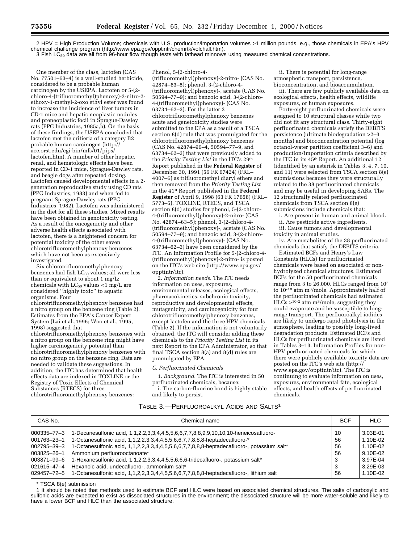2 HPV = High Production Volume; chemicals with U.S. production/importation volumes >1 million pounds, e.g., those chemicals in EPA's HPV chemical challenge program (http://www.epa.gov/opptintr/chemrtk/volchall.htm).

3 Fish LC<sub>50</sub> data are all from 96-hour flow though tests with fathead minnows using measured chemical concentrations.

Phenol, 5-(2-chloro-4-

One member of the class, lactofen (CAS No. 77501–63–4) is a well-studied herbicide, considered to be a probable human carcinogen by the USEPA. Lactofen or 5-(2chloro-4-(trifluoromethyl)phenoxy)-2-nitro-2 ethoxy-1-methyl-2-oxo ethyl ester was found to increase the incidence of liver tumors in CD-1 mice and hepatic neoplastic nodules and preneoplastic focii in Sprague-Dawley rats (PPG Industries, 1985a,b). On the basis of these findings, the USEPA concluded that lactofen met the critieria of a category B2 probable human carcinogen (http:// ace.orst.edu/cgi-bin/mfs/01/pips/ lactofen.htm). A number of other hepatic, renal, and hematologic effects have been reported in CD-1 mice, Sprague-Dawley rats, and beagle dogs after repeated dosing. Lactofen caused developmental effects in a 2 generation reproductive study using CD rats (PPG Industries, 1983) and when fed to pregnant Sprague-Dawley rats (PPG Industries, 1982). Lactofen was administered in the diet for all these studies. Mixed results have been obtained in genotoxicity testing. As a result of the oncogenicity and other adverse health effects associated with lactofen, there is a heightened concern for potential toxicity of the other seven chlorotrifluoromethylphenoxy benzenes which have not been as extensively investigated.

Six chlorotrifluoromethylphenoxy benzenes had fish  $LC_{50}$  values; all were less than or equivalent to about 1 mg/L; chemicals with  $LC_{50}$  values <1 mg/L are considered ''highly toxic'' to aquatic organisms. Four

chlorotrifluoromethylphenoxy benzenes had a nitro group on the benzene ring (Table 2). Estimates from the EPA's Cancer Expert System (Lai et al.,1996; Woo et al., 1995, 1998) suggested that

chlorotrifluoromethylphenoxy benzenes with a nitro group on the benzene ring might have higher carcinogenicity potential than chlorotrifluoromethylphenoxy benzenes with no nitro group on the benzene ring. Data are needed to validate these suggestions. In addition, the ITC has determined that health effects data are indexed in TOXLINE or the Registry of Toxic Effects of Chemical Substances (RTECS) for three chlorotrifluoromethylphenoxy benzenes:

(trifluoromethyl)phenoxy)-2-nitro- (CAS No. 42874–63–5); phenol, 3-(2-chloro-4- (trifluoromethyl)phenoxy)-, acetate (CAS No. 50594–77–9); and benzoic acid, 3-(2-chloro-4-(trifluoromethyl)phenoxy)- (CAS No. 63734–62–3). For the latter 2 chlorotrifluoromethylphenoxy benzenes acute and genetoxicity studies were submitted to the EPA as a result of a TSCA section 8(d) rule that was promulgated for the chlorotrifluoromethylphenoxy benzenes (CAS No. 42874–96–4, 50594–77–9, and 63734–62–3) that were previously added to the *Priority Testing List* in the ITC's 29th Report published in the **Federal Register** of December 30, 1991 (56 FR 67424) (FRL– 4007–6) as trifluoromethyl diaryl ethers and then removed from the *Priority Testing List* in the 41st Report published in the **Federal Register** of April 9, 1998 (63 FR 17658) (FRL– 5773–5). TOXLINE, RTECS, and TSCA section 8(d) studies for phenol, 5-(2-chloro-4-(trifluoromethyl)phenoxy)-2-nitro- (CAS No. 42874–63–5); phenol, 3-(2-chloro-4- (trifluoromethyl)phenoxy)-, acetate (CAS No. 50594–77–9); and benzoic acid, 3-(2-chloro-4-(trifluoromethyl)phenoxy)- (CAS No. 63734–62–3) have been considered by the ITC. An Information Profile for 5-(2-chloro-4- (trifluoromethyl)phenoxy)-2-nitro- is posted on the ITC's web site (http://www.epa.gov/ opptintr/itc).

2. *Information needs*. The ITC needs information on uses, exposures, environmental releases, ecological effects, pharmacokinetics, subchronic toxicity, reproductive and developmental effects, mutagenicity, and carcinogenicity for four chlorotrifluoromethylphenoxy benzenes, except lactofen and the three HPV chemicals (Table 2). If the information is not voluntarily obtained, the ITC will consider adding these chemicals to the *Priority Testing List* in its next Report to the EPA Administrator, so that final TSCA section 8(a) and 8(d) rules are promulgated by EPA.

#### *C. Perfluorinated Chemicals*

1. *Background*. The ITC is interested in 50 perfluorinated chemicals, because:

i. The carbon-fluorine bond is highly stable and likely to persist.

ii. There is potential for long-range atmospheric transport, persistence, bioconcentration, and bioaccumulation.

iii. There are few publicly available data on ecological effects, health effects, wildlife exposures, or human exposures.

Forty-eight perfluorinated chemicals were assigned to 10 structural classes while two did not fit any structural class. Thirty-eight perfluorinated chemicals satisfy the DEBITS persistence (ultimate biodegradation >2–3 months) and bioconcentration potential (log octanol-water partition coefficient 3–6) and production/importation criteria described by the ITC in its 45th Report. An additional 12 (identified by an asterisk in Tables 3, 4, 7, 10, and 11) were selected from TSCA section 8(e) submissions because they were structurally related to the 38 perfluorinated chemicals and may be useful in developing SARs. The 12 structurally related perfluorinated chemicals from TSCA section 8(e) submissions include chemicals that:

i. Are present in human and animal blood.

ii. Are pesticide active ingredients. iii. Cause tumors and developmental toxicity in animal studies.

iv. Are metabolites of the 38 perfluorinated chemicals that satisfy the DEBITS criteria.

Estimated BCFs and Henry's Law Constants (HLCs) for perfluorinated chemicals were based on associated or nonhydrolyzed chemical structures. Estimated BCFs for the 50 perfluorinated chemicals range from 3 to 26,000. HLCs ranged from 103 to 10-10 atm m3/mole. Approximately half of the perfluorinated chemicals had estimated  $HL\ddot{C}s > 10^{-2}$  atm m<sup>3</sup>/mole, suggesting they could evaporate and be susceptible to longrange transport. The perfluoroalkyl iodides are likely to undergo rapid photolysis in the atmosphere, leading to possibly long-lived degradation products. Estimated BCFs and HLCs for perfluorinated chemicals are listed in Tables 3–13. Information Profiles for non-HPV perfluorinated chemicals for which there were publicly available toxicity data are posted on the ITC's web site (http:// www.epa.gov/opptintr/itc). The ITC is continuing to evaluate information on uses, exposures, environmental fate, ecological effects, and health effects of perfluorinated chemicals.

# TABLE 3.—PERFLUOROALKYL ACIDS AND SALTS1

| CAS No.                                                                                      | Chemical name                                                                                                                                                                                                                                                                                                                                                                                                                        | <b>BCF</b>                     | <b>HLC</b>                                                           |
|----------------------------------------------------------------------------------------------|--------------------------------------------------------------------------------------------------------------------------------------------------------------------------------------------------------------------------------------------------------------------------------------------------------------------------------------------------------------------------------------------------------------------------------------|--------------------------------|----------------------------------------------------------------------|
| $000335 - 77 - 3$<br>001763-23-1<br>002795-39-3<br>003825-26-1<br>003871-99-6<br>021615-47-4 | 1-Decanesulfonic acid, 1,1,2,2,3,3,4,4,5,5,6,6,7,7,8,8,9,9,10,10,10-heneicosafluoro-<br>1-Octanesulfonic acid, 1,1,2,2,3,3,4,4,5,5,6,6,7,7,8,8,8-heptadecafluoro-*<br>1-Octanesulfonic acid, 1,1,2,2,3,3,4,4,5,5,6,6,7,7,8,8,8-heptadecafluoro-, potassium salt*<br>Ammonium perfluorooctanoate*<br>1-Hexanesulfonic acid, 1,1,2,2,3,3,4,4,5,5,6,6,6-tridecafluoro-, potassium salt*<br>Hexanoic acid, undecafluoro-, ammonium salt* | 10<br>56<br>56<br>56<br>3<br>3 | 3.03E-01<br>1.10E-02<br>1.10E-02<br>9.10E-02<br>3.97E-04<br>3.29E-03 |
| 029457-72-5                                                                                  | 1-Octanesulfonic acid, 1,1,2,2,3,3,4,4,5,5,6,6,7,7,8,8,8-heptadecafluoro-, lithium salt                                                                                                                                                                                                                                                                                                                                              | 56                             | 1.10E-02                                                             |

\* TSCA 8(e) submission

1 It should be noted that methods used to estimate BCF and HLC were based on associated chemical structures. The salts of carboxylic and sulfonic acids are expected to exist as dissociated structures in the environment; the dissociated structure will be more water-soluble and likely to have a lower BCF and HLC than the associated structure.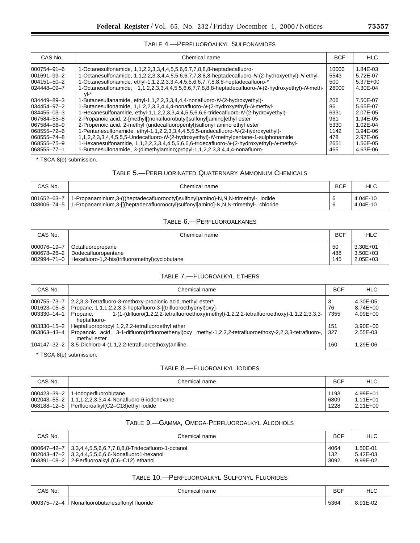# TABLE 4.—PERFLUOROALKYL SULFONAMIDES

| CAS No.           | Chemical name                                                                                             | <b>BCF</b> | HLC          |
|-------------------|-----------------------------------------------------------------------------------------------------------|------------|--------------|
| $000754 - 91 - 6$ | 1-Octanesulfonamide, 1,1,2,2,3,3,4,4,5,5,6,6,7,7,8,8,8-heptadecafluoro-                                   | 10000      | 1.84E-03     |
| 001691-99-2       | 1-Octanesulfonamide, 1,1,2,2,3,3,4,4,5,5,6,6,7,7,8,8,8-heptadecafluoro-N-(2-hydroxyethyl)-N-ethyl-        | 5543       | 5.72E-07     |
| 004151-50-2       | 1-Octanesulfonamide, ethyl-1,1,2,2,3,3,4,4,5,5,6,6,7,7,8,8,8-heptadecafluoro-*                            | 500        | $5.37E + 00$ |
| 024448-09-7       | 1-Octanesulfonamide, 1,1,2,2,3,3,4,4,5,5,6,6,7,7,8,8,8-heptadecafluoro-N-(2-hydroxyethyl)-N-meth-<br>vl-* | 26000      | 4.30E-04     |
| 034449-89-3       | 1-Butanesulfanamide, ethyl-1,1,2,2,3,3,4,4,4-nonafluoro-N-(2-hydroxyethyl)-                               | 206        | 7.50E-07     |
| 034454-97-2       | 1-Butanesulfonamide, 1,1,2,2,3,3,4,4,4-nonafluoro-N-(2-hydroxyethyl)-N-methyl-                            | 86         | 5.65E-07     |
| $034455 - 03 - 3$ | 1-Hexanesulfonamide, ethyl-1,1,2,2,3,3,4,4,5,5,6,6,6-tridecafluoro-N-(2-hydroxyethyl)-                    | 6331       | 2.07E-05     |
| 067584-55-8       | 2-Propanoic acid. 2-[methyl[(nonalfuorobutyl)sulfonyl]amino]ethyl ester                                   | 961        | 1.94E-05     |
| 067584-56-9       | 2-Propenoic acid, 2-methyl (undecafluoropentyl) sulfonyl amino ethyl ester                                | 5330       | $1.02F - 04$ |
| 068555-72-6       | 1-Pentanesulfonamide, ethyl-1,1,2,2,3,3,4,4,5,5,5-undecafluoro-N-(2-hydroxyethyl)-                        | 1142       | 3.94E-06     |
| 068555-74-8       | 1,1,2,2,3,3,4,4,5,5,5-Undecafluoro-N-(2-hydroxyethyl)-N-methylpentane-1-sulphonamide                      | 478        | 2.97E-06     |
| 068555-75-9       | 1-Hexanesulfonamide, 1,1,2,2,3,3,4,4,5,5,6,6-tridecafluoro-N-(2-hydroxyethyl)-N-methyl-                   | 2651       | 1.56E-05     |
| 068555-77-1       | 1-Butanesulfonamide, 3-(dimethylamino)propyl-1,1,2,2,3,3,4,4,4-nonafluoro-                                | 465        | 4.63E-06     |

\* TSCA 8(e) submission.

# TABLE 5.—PERFLUORINATED QUATERNARY AMMONIUM CHEMICALS

| CAS No. | Chemical name                                                                                                                                                                                          | <b>BCF</b> | HLC                  |
|---------|--------------------------------------------------------------------------------------------------------------------------------------------------------------------------------------------------------|------------|----------------------|
|         | 001652–63–7   1-Propanaminium,3-(((heptadecafluorooctyl)sulfonyl)amino)-N,N,N-trimethyl-, iodide<br>038006-74-5   1-Propanaminium,3-[[(heptadecafluorooctyl)sulfonyl]amino]-N,N,N-trimethyl-, chloride |            | 4.04E-10<br>4.04E-10 |

# TABLE 6.—PERFLUOROALKANES

| CAS No.     | Chemical name                                                | <b>BCF</b> | HLC          |
|-------------|--------------------------------------------------------------|------------|--------------|
| 000076-19-7 | Octafluoropropane                                            | 50         | $3.30E + 01$ |
|             | 000678-26-2 Dodecafluoropentane                              | 488        | $3.50E + 03$ |
|             | 002994-71-0   Hexafluoro-1,2-bis(trifluoromethyl)cyclobutane | 145        | $2.05E + 03$ |

# TABLE 7.—FLUOROALKYL ETHERS

| CAS No.                                   | Chemical name                                                                                                                                                                                                                                          | <b>BCF</b>      | <b>HLC</b>                               |
|-------------------------------------------|--------------------------------------------------------------------------------------------------------------------------------------------------------------------------------------------------------------------------------------------------------|-----------------|------------------------------------------|
| 000755-73-7<br>001623-05-8<br>003330-14-1 | 2.2.3.3-Tetrafluoro-3-methoxy-propionic acid methyl ester*<br>Propane, 1,1,1,2,2,3,3-heptafluoro-3-[(trifluoroethyenyl)oxy]-<br>1-(1-(difluoro(1,2,2,2-tetrafluoroethoxy)methyl)-1,2,2,2-tetrafluoroethoxy)-1,1,2,2,3,3,3-<br>Propane.<br>heptafluoro- | 3<br>76<br>7355 | 4.30E-05<br>$8.74E + 00$<br>$4.99E + 00$ |
| 003330-15-2<br>063863-43-4                | Heptafluoropropyl 1,2,2,2-tetrafluoroethyl ether<br>methyl-1,2,2,2-tetrafluoroethoxy-2,2,3,3-tetrafluoro-,<br>Propanoic acid, 3-1-difluoro(trifluoroethenyl) oxy<br>methyl ester                                                                       | 151<br>327      | $3.90E + 00$<br>2.55E-03                 |
| 104147-32-2                               | 3,5-Dichloro-4-(1,1,2,2-tetrafluoroethoxy)aniline                                                                                                                                                                                                      | 160             | 1.29E-06                                 |

\* TSCA 8(e) submission.

# TABLE 8.—FLUOROALKYL IODIDES

| CAS No. | Chemical name                                           | <b>BCF</b> | <b>HLC</b>   |
|---------|---------------------------------------------------------|------------|--------------|
|         | 000423-39-2   1-lodoperfluorobutane                     | 1193       | $4.99E + 01$ |
|         | 002043-55-2   1,1,1,2,2,3,3,4,4-Nonafluoro-6-iodohexane | 6809       | $1.11E + 01$ |
|         | 068188-12-5   Perfluoroalkyl(C2-C18)ethyl iodide        | 1228       | 2.11E+00     |

# TABLE 9.—GAMMA, OMEGA-PERFLUOROALKYL ALCOHOLS

| CAS No. | Chemical name                                                 | <b>BCF</b> | <b>HLC</b> |
|---------|---------------------------------------------------------------|------------|------------|
|         | 000647-42-7 3.3.4.4.5.5.6.6.7.7.8.8.8-Tridecafluoro-1-octanol | 4064       | 1.50E-01   |
|         | 002043-47-2 3.3.4.4.5.5.6.6.6-Nonafluoro1-hexanol             | 132        | 5.42E-03   |
|         | 068391-08-2 2-Perfluoroalkyl (C6-C12) ethanol                 | 3092       | 9.99E-02   |

# TABLE 10.—PERFLUOROALKYL SULFONYL FLUORIDES

| CAS No.                                   | Chemical name                     | <b>BCF</b> | HLC      |
|-------------------------------------------|-----------------------------------|------------|----------|
| $\overline{z}$<br>000375-7<br>$\sqrt{-1}$ | Nonafluorobutanesulfonyl fluoride | 5364       | $91E-0z$ |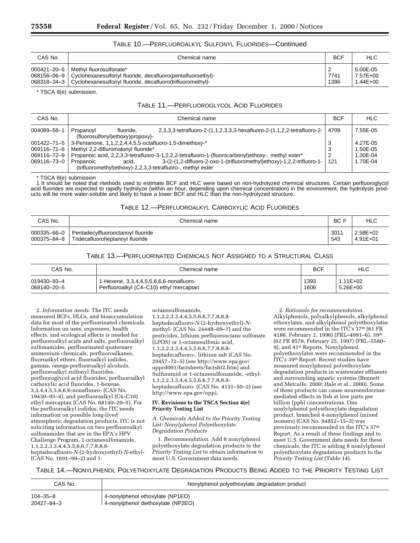# TABLE 10.—PERFLUOROALKYL SULFONYL FLUORIDES—Continued

| CAS No. | Chemical name                                                             | <b>BCF</b>     | <b>HLC</b>   |
|---------|---------------------------------------------------------------------------|----------------|--------------|
|         | 000421-20-5   Methyl fluorosulfonate*                                     | $\overline{c}$ | 5.00E-05     |
|         | 068156-06-9   Cyclohexanesulfonyl fluoride, decafluoro(pentafluoroethyl)- | 7741           | 7.57E+00     |
|         | 068318-34-3   Cyclohexanesulfonyl fluoride, decafluoro(trifluoromethyl)-  | 1396           | $1.44E + 00$ |

\* TSCA 8(e) submission.

## TABLE 11.—PERFLUOROGLYCOL ACID FLUORIDES

| CAS No.           | Chemical name                                                                     |                                                                                                    | <b>BCF</b> | <b>HLC</b> |
|-------------------|-----------------------------------------------------------------------------------|----------------------------------------------------------------------------------------------------|------------|------------|
| 004089-58-1       | fluoride.<br>Propanovl<br>(fluorosulfonyl)ethoxy)propoxy)-                        | 2,3,3,3-tetrafluoro-2-(1,1,2,3,3,3-hexafluoro-2-(1,1,2,2-tetrafluoro-2-                            | 4709       | 7.55E-05   |
| $001422 - 71 - 5$ | 3-Pentanone, 1,1,2,2,4,4,5,5-octafluoro-1,5-dimethoxy-*                           |                                                                                                    | 3          | 4.27E-05   |
| 069116-71-8       | Methyl 2,2-difluromalonyl fluoride*                                               |                                                                                                    | 3          | 1.50E-05   |
| 069116-72-9       |                                                                                   | Propanoic acid, 2,2,3,3-tetrafluoro-3-1,2,2,2-tetrafluoro-1-(fluorocarbonyl)ethoxy-, methyl ester* |            | 1.30E-04   |
| 069116-73-0       | Propanoic<br>acid.<br>(trifluoromethyl)ethoxy)-2,2,3,3-tetrafluoro-, methyl ester | 3-(2-(1,2-difluoro-2-oxo-1-(trifluoromethyl)ethoxy)-1,2,2-trifluoro-1-                             | 121        | 1.70E-04   |

\* TSCA 8(e) submission

1 It should be noted that methods used to estimate BCF and HLC were based on non-hydrolyzed chemical structures. Certain perfluoroglycol acid fluorides are expected to rapidly hydrolyze (within an hour, depending upon chemical concentration) in the environment; the hydrolysis prod-<br>ucts will be more water-soluble and likely to have a lower BCF and HLC than

# TABLE 12.—PERFLUOROALKYL CARBOXYLIC ACID FLUORIDES

| CAS No.     | Chemical name                                   | BC F | <b>HLC</b>   |
|-------------|-------------------------------------------------|------|--------------|
| 000375-84-8 | 000335-66-0   Pentadecylfluorooctanoyl fluoride | 3011 | 2.58E+02     |
|             | Tridecafluoroheptanovl fluoride                 | 543  | $4.91E + 01$ |

# TABLE 13.—PERFLUORINATED CHEMICALS NOT ASSIGNED TO A STRUCTURAL CLASS

| CAS No.     | Chemical name                           | <b>BCF</b> | <b>HLC</b>   |
|-------------|-----------------------------------------|------------|--------------|
| 019430-93-4 | 1-Hexene, 3,3,4,4,5,5,6,6,6-nonafluoro- | 1393       | $1.11E + 02$ |
| 068140-20-5 | Perfluoroalkyl (C4-C10) ethyl mercaptan | 1606       | $5.26E + 00$ |

2. *Information needs*. The ITC needs measured BCFs, HLCs, and bioaccumulation data for most of the perfluorinated chemicals. Information on uses, exposures, health effects, and ecological effects is needed for perfluoroalkyl acids and salts, perfluoroalkyl sulfonamides, perfluorinated quaternary ammonium chemicals, perfluoroalkanes, fluoroalkyl ethers, fluoroalkyl iodides, gamma, omega-perfluoroalkyl alcohols, perfluoroalkyl sulfonyl fluorides, perfluoroglycol acid fluorides, perfluoroalkyl carboxylic acid fluorides, 1-hexene, 3,3,4,4,5,5,6,6,6-nonafluoro- (CAS No. 19430–93–4), and perfluoroalkyl (C4–C10) ethyl mercaptan (CAS No. 68140–20–5). For the perfluoroalkyl iodides, the ITC needs information on possible long-lived atmospheric degradation products. ITC is not soliciting information on two perfluoroalkyl sulfonamides that are in the EPA's HPV Challenge Program, 1-octanesulfonamide, 1,1,2,2,3,3,4,4,5,5,6,6,7,7,8,8,8 heptadecafluoro-*N*-(2-hydroxyethyl)-*N*-ethyl- (CAS No. 1691–99–2) and 1-

octanesulfonamide, 1,1,2,2,3,3,4,4,5,5,6,6,7,7,8,8,8 heptadecafluoro-*N*-(2-hydroxyethyl)-*N*methyl- (CAS No. 24448–09–7) and the pesticides, lithium perfluorooctane sulfonate (LPOS) or 1-octanesulfonic acid, 1,1,2,2,3,3,4,4,5,5,6,6,7,7,8,8,8 heptadecafluoro-, lithium salt (CAS No. 29457–72–5) (see http://www.epa.gov/ opprd001/factsheets/factsht2.htm) and Sulfuramid or 1-octanesulfonamide, -ethyl-1,1,2,2,3,3,4,4,5,5,6,6,7,7,8,8,8 heptadecafluoro- (CAS No. 4151–50–2) (see http://www.epa.gov/opp).

#### **IV. Revisions to the TSCA Section 4(e) Priority Testing List**

*A. Chemicals Added to the Priority Testing List: Nonylphenol Polyethoxylate Degradation Products*

1. *Recommendation*. Add 8 nonylphenol polyethoxylate degradation products to the *Priority Testing List* to obtain information to meet U.S. Government data needs.

2. *Rationale for recommendation*. Alkylphenols, polyalkylphenols, alkylphenol ethoxylates, and alkylphenol polyethoxylates were recommended in the ITC's 37th (61 FR 4188, February 2, 1996) (FRL–4991–6), 39th (62 FR 8578, February 25, 1997) (FRL–5580– 9), and 41st Reports. Nonylphenol polyethoxylates were recommended in the ITC's 39th Report. Recent studies have measured nonylphenol polyethoxylate degradation products in wastewater effluents and surrounding aquatic systems (Bennett and Metcalfe, 2000; Hale et al., 2000). Some of these products can cause neuroendocrinemediated effects in fish at low parts per billion (ppb) concentrations. One nonlylphenol polyethoxylate degradation product, branched 4-nonylphenol (mixed isomers) (CAS No. 84852–15–3) was previously recommended in the ITC's 37th Report. As a result of these findings and to meet U.S. Government data needs for these chemicals, the ITC is adding 8 nonlylphenol polyethoxylate degradation products to the *Priority Testing List* (Table 14).

TABLE 14.—NONYLPHENOL POLYETHOXYLATE DEGRADATION PRODUCTS BEING ADDED TO THE PRIORITY TESTING LIST

| CAS No.        | Nonylphenol polyethoxylate degradation product |
|----------------|------------------------------------------------|
| $104 - 35 - 8$ | 4-nonylphenol ethoxylate (NP1EO)               |
| 20427-84-3     | 4-nonylphenol diethoxylate (NP2EO)             |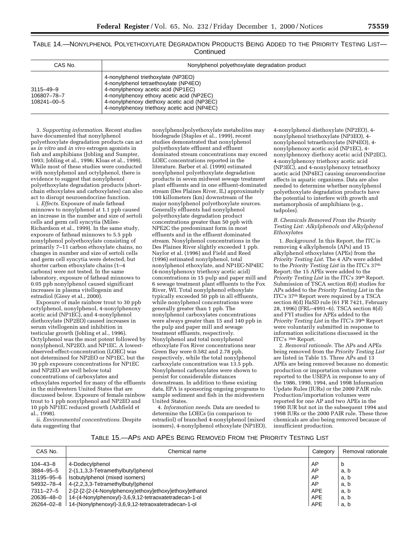TABLE 14.—NONYLPHENOL POLYETHOXYLATE DEGRADATION PRODUCTS BEING ADDED TO THE PRIORITY TESTING LIST— **Continued** 

| CAS No.                                             | Nonylphenol polyethoxylate degradation product                                                                                                                                                                                                                 |
|-----------------------------------------------------|----------------------------------------------------------------------------------------------------------------------------------------------------------------------------------------------------------------------------------------------------------------|
| $3115 - 49 - 9$<br>106807-78-7<br>$108241 - 00 - 5$ | 4-nonylphenol triethoxylate (NP3EO)<br>4-nonylphenol tetraethoxylate (NP4EO)<br>4-nonylphenoxy acetic acid (NP1EC)<br>4-nonylphenoxy ethoxy acetic acid (NP2EC)<br>4-nonylphenoxy diethoxy acetic acid (NP3EC)<br>4-nonylphenoxy triethoxy acetic acid (NP4EC) |

3. *Supporting information*. Recent studies have documented that nonylphenol polyethoxylate degradation products can act as *in vitro* and *in vivo* estrogen agonists in fish and amphibians (Jobling and Sumpter, 1993; Jobling et al., 1996; Kloas et al., 1999). While most of these studies were conducted with nonylphenol and octylphenol, there is evidence to suggest that nonylphenol polyethoxylate degradation products (shortchain ethoxylates and carboxylates) can also act to disrupt neuroendocrine function.

i. *Effects*. Exposure of male fathead minnows to nonylphenol at 1.1 ppb caused an increase in the number and size of sertoli cells and germ cell syncytia (Miles-Richardson et al., 1999). In the same study, exposure of fathead minnows to 5.5 ppb nonylphenol polyethoxylate consisting of primarily 7–11 carbon ethoxylate chains, no changes in number and size of sertoli cells and germ cell syncytia were detected, but shorter carbon ethoxylate chains (1–4 carbons) were not tested. In the same laboratory, exposure of fathead minnows to 0.05 ppb nonylphenol caused significant increases in plasma vitellogenin and estradiol (Giesy et al., 2000).

Exposure of male rainbow trout to 30 ppb octylphenol, nonylphenol, 4-nonylphenoxy acetic acid (NP1EC), and 4-nonylphenol diethoxylate (NP2EO) caused increases in serum vitellogenin and inhibition in testicular growth (Jobling et al., 1996). Octylphenol was the most potent followed by nonylphenol, NP2EO, and NP1EC. A lowestobserved-effect-concentration (LOEC) was not determined for NP2EO or NP1EC, but the 30 ppb exposure concentrations for NP1EC and NP2EO are well below total concentrations of carboxylates and ethoxylates reported for many of the effluents in the midwestern United States that are discussed below. Exposure of female rainbow trout to 1 ppb nonylphenol and NP2EO and 10 ppb NP1EC reduced growth (Ashfield et al., 1998).

ii. *Environmental concentrations*. Despite data suggesting that

nonylphenolpolyethoxylate metabolites may biodegrade (Staples et al., 1999), recent studies demonstrated that nonylphenol polyethoxylate effluent and effluent dominated stream concentrations may exceed LOEC concentrations reported in the literature. Barber et al. (1999) estimated nonylphenol polyethoxylate degradation products in seven midwest sewage treatment plant effluents and in one effluent-dominated stream (Des Plaines River, IL) approximately 100 killometers (km) downstream of the major nonylphenol polyethoxylate sources. Generally effluents had nonylphenol polyethoxylate degradation product concentrations greater than 50 ppb with NPE2C the predominant form in most effluents and in the effluent dominated stream. Nonylphenol concentrations in the Des Plaines River slightly exceeded 1 ppb. Naylor et al. (1996) and Field and Reed (1996) estimated nonylphenol, total nonylphenol ethoxylate, and NP1EC-NP4EC (4-nonylphenoxy triethoxy acetic acid) concentrations in 15 pulp and paper mill and 6 sewage treatment plant effluents to the Fox River, WI. Total nonylphenol ethoxylate typically exceeded 50 ppb in all effluents, while nonylphenol concentrations were generally greater than 1 ppb. The nonylphenol carboxylates concentrations were always greater than 15 and 140 ppb in the pulp and paper mill and sewage treatment effluents, respectively. Nonylphenol and total nonylphenol ethoxylate Fox River concentrations near Green Bay were 0.582 and 2.78 ppb, respectively, while the total nonylphenol carboxylate concentration was 13.5 ppb. Nonylphenol carboxylates were shown to persist for considerable distances downstream. In addition to these existing data, EPA is sponsoring ongoing programs to sample sediment and fish in the midwestern United States.

4. *Information needs*. Data are needed to determine the LOECs (in comparison to estradiol) of branched 4-nonylphenol (mixed isomers), 4-nonylphenol ethoxylate (NP1EO),

4-nonylphenol diethoxylate (NP2EO), 4 nonylphenol triethoxylate (NP3EO), 4 nonylphenol tetraethoxylate (NP4EO), 4 nonylphenoxy acetic acid (NP1EC), 4 nonylphenoxy diethoxy acetic acid (NP2EC), 4-nonylphenoxy triethoxy acetic acid (NP3EC), and 4-nonylphenoxy tetraethoxy acetic acid (NP4EC) causing neuroendocrine effects in aquatic organisms. Data are also needed to determine whether nonylphenol polyethoxylate degradation products have the potential to interfere with growth and metamorphosis of amphibians (e.g., tadpoles).

#### *B. Chemicals Removed From the Priority Testing List: Alkylphenols and Alkylphenol Ethoxylates*

1. *Background*. In this Report, the ITC is removing 4 alkylphenols (APs) and 15 alkylphenol ethoxylates (APEs) from the *Priority Testing List*. The 4 APs were added to the *Priority Testing List* in the ITC's 37th Report; the 15 APEs were added to the *Priority Testing List* in the ITC's 39th Report. Submission of TSCA section 8(d) studies for APs added to the *Priority Testing List* in the ITC's 37th Report were required by a TSCA section 8(d) HaSD rule (61 FR 7421, February 28, 1996) (FRL–4991–6). TSCA section 8(d) and FYI studies for APEs added to the *Priority Testing List* in the ITC's 39th Report were voluntarily submitted in response to information solicitations discussed in the ITC's 39th Report.

2. *Removal rationale*. The APs and APEs being removed from the *Priority Testing List* are listed in Table 15. Three APs and 13 APEs are being removed because no domestic production or importation volumes were reported to the USEPA in response to any of the 1986, 1990, 1994, and 1998 Information Update Rules (IURs) or the 2000 PAIR rule. Production/importation volumes were reported for one AP and two APEs in the 1990 IUR but not in the subsequent 1994 and 1998 IURs or the 2000 PAIR rule. These three chemicals are also being removed because of insufficient production.

## TABLE 15.—APS AND APES BEING REMOVED FROM THE PRIORITY TESTING LIST

| CAS No.        | Chemical name                                               | Category | Removal rationale |
|----------------|-------------------------------------------------------------|----------|-------------------|
| $104 - 43 - 8$ | 4-Dodecylphenol                                             | AP       | b                 |
| 3884-95-5      | 2-(1,1,3,3-Tetramethylbutyl)phenol                          | AP       | a, b              |
| 31195-95-6     | Isobutylphenol (mixed isomers)                              | AP       | a, b              |
| 54932–78–4     | 4-(2,2,3,3-Tetramethylbutyl)phenol                          | AP       | a. b              |
| 7311-27-5      | 2-[2-[2-(4-Nonylphenoxy)ethoxy]ethoxy]ethoxy]ethoxy]ethanol | APE      | a, b              |
| 20636-48-0     | 14-(4-Nonylphenoxyl)-3,6,9,12-tetraoxatetradecan-1-ol       | APE      | a. b              |
| 26264–02–8     | 14-(Nonylphenoxyl)-3,6,9,12-tetraoxatetradecan-1-ol         | APE      | a, b              |
|                |                                                             |          |                   |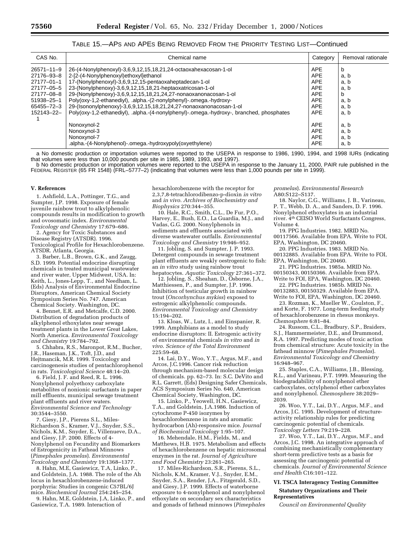# TABLE 15.—APS AND APES BEING REMOVED FROM THE PRIORITY TESTING LIST—Continued

| CAS No.          | Chemical name                                                                           | Category   | Removal rationale |
|------------------|-----------------------------------------------------------------------------------------|------------|-------------------|
| $26571 - 11 - 9$ | 26-(4-Nonylphenoxyl)-3,6,9,12,15,18,21,24-octaoxahexacosan-1-ol                         | <b>APE</b> | b                 |
| 27176-93-8       | 2-[2-(4-Nonylphenoxyl)ethoxyl]ethanol                                                   | <b>APE</b> | a, b              |
| 27177-01-1       | 17-(Nonylphenoxyl)-3,6,9,12,15-pentaoxaheptadecan-1-ol                                  | <b>APE</b> | a, b              |
| 27177-05-5       | 23-(Nonylphenoxy)-3,6,9,12,15,18,21-heptaoxatricosan-1-ol                               | <b>APE</b> | a, b              |
| 27177-08-8       | 29-(Nonylphenoxy)-3,6,9,12,15,18,21,24,27-nonaoxanonacosan-1-ol                         | <b>APE</b> | b                 |
| 51938-25-1       | Poly(oxy-1,2-ethanediyl), .alpha.-(2-nonylphenyl)-.omega.-hydroxy-                      | <b>APE</b> | a, b              |
| 65455-72-3       | 29-(Isononylphenoxy)-3,6,9,12,15,18,21,24,27-nonaoxanonacosan-1-ol                      | <b>APE</b> | a, b              |
| 152143-22-       | Poly(oxy-1,2-ethanediyl), alpha.-(4-nonylphenyl)-.omega.-hydroxy-, branched, phosphates | <b>APE</b> | a, b              |
|                  | Nonoxynol-2                                                                             | <b>APE</b> | a, b              |
|                  | Nonoxynol-3                                                                             | <b>APE</b> | a, b              |
|                  | Nonoxynol-7                                                                             | <b>APE</b> | a, b              |
|                  | .alpha.-(4-Nonylphenol)-.omega.-hydroxypoly(oxyethylene)                                | APE        | a, b              |

a No domestic production or importation volumes were reported to the USEPA in response to 1986, 1990, 1994, and 1998 IURs (indicating that volumes were less than 10,000 pounds per site in 1985, 1989, 1993, and 1997).

b No domestic production or importation volumes were reported to the USEPA in response to the January 11, 2000, PAIR rule published in the FEDERAL REGISTER (65 FR 1548) (FRL–5777–2) (indicating that volumes were less than 1,000 pounds per site in 1999).

#### **V. References**

1. Ashfield, L.A., Pottinger, T.G., and Sumpter, J.P. 1998. Exposure of female juvenile rainbow trout to alkylphenolic compounds results in modification to growth and ovosomatic index. *Environmental Toxicology and Chemistry* 17:679–686.

2. Agency for Toxic Substances and Disease Registry (ATSDR). 1996. Toxicological Profile for Hexachlorobenzene. ATSDR. Atlanta, Georgia.

3. Barber, L.B., Brown, G.K., and Zaugg, S.D. 1999. Potential endocrine disrupting chemicals in treated municipal wastewater and river water, Upper Midwest, USA. In: Keith, L., Jones-Lepp, T., and Needham, L. (Eds) Analysis of Environmental Endocrine Disruptors, American Chemical Society Symposium Series No. 747. American Chemical Society. Washington, DC.

4. Bennet, E.R. and Metcalfe, C.D. 2000. Distribution of degradation products of alkylphenol ethoxylates near sewage treatment plants in the Lower Great Lakes, North America. *Environmental Toxicology and Chemistry* 19:784–792.

5. Chhabra, R.S., Maronpot, R.M., Bucher, J.R., Haseman, J.K., Toft, J.D., and Hejtmancik, M.R. 1999. Toxicology and carcinogenesis studies of pentachlorophenol in rats. *Toxicological Science* 48:14–20.

6. Field, J. F. and Reed, R. L. 1996. Nonylphenol polyethoxy carboxylate metabolites of nonionic surfactants in paper mill effluents, municipal sewage treatment plant effluents and river waters. *Environmental Science and Technology* 30:3544–3550.

7. Giesy, J.P., Pierens S.L., Miles-Richardson S., Kramer, V.J., Snyder, S.S., Nichols, K.M., Snyder, E., Villenueve, D.A., and Giesy, J.P. 2000. Effects of 4- Nonylphenol on Fecundity and Biomarkers of Estrogenicity in Fathead Minnows (*Pimephales promelas*). *Environmental Toxicology and Chemistry* 19:1368–1377.

8. Hahn, M.E, Gasiewicz, T.A, Linko, P., and Goldstein, J.A. 1988. The role of the Ah locus in hexachlorobenzene-induced porphyria: Studies in congenic C57BL/6J mice. *Biochemical Journal* 254:245–254.

9. Hahn, M.E, Goldstein, J.A, Linko, P., and Gasiewicz, T.A. 1989. Interaction of

hexachlorobenzene with the receptor for 2,3,7,8-tetrachlorodibenzo-p-dioxin *in vitro* and *in vivo*. *Archives of Biochemistry and Biophysics* 270:344–355.

10. Hale, R.C., Smith, C.L., De Fur, P.O., Harvey, E., Bush, E.O., La Guardia, M.J., and Vadas, G.G. 2000. Nonylphenols in sediments and effluents associated with diverse wastewater outfalls. *Environmental Toxicology and Chemistry* 19:946–952.

11. Jobling, S. and Sumpter, J. P. 1993. Detergent compounds in sewage treatment plant effluents are weakly oestrogenic to fish: an *in vitro* study using rainbow trout hepatocytes. *Aquatic Toxicology* 27:361–372.

12. Jobling, S., Sheahan, D., Osborne, J.A., Matthiessen, P., and Sumpter, J.P. 1996. Inhibition of testicular growth in rainbow trout (*Oncorhynchus mykiss*) exposed to estrogenic alkylphenolic compounds. *Environmental Toxicology and Chemistry* 15:194–202.

13. Kloas, W., Lutz, I., and Einspanier, R. 1999. Amphibians as a model to study endocrine disruptors: II. Estrogenic activity of environmental chemicals *in vitro* and *in vivo*. *Science of the Total Environment* 225:59–68.

14. Lai, D.Y., Woo, Y.T., Argus, M.F., and Arcos, J.C.1996. Cancer risk reduction through mechanism-based molecular design of chemicals. pp. 62–73. In: S.C. DeVito and R.L. Garrett, (Eds) Designing Safer Chemicals, ACS Symposium Series No. 640, American Chemical Society, Washington, DC.

15. Linko, P., Yeowell, H.N., Gasiewicz, T.A., and Goldstein, J.A.1986. Induction of cytochrome P-450 isozymes by hexachlorobenzene in rats and aromatic hydrocarbon (Ah)-responsive mice. *Journal of Biochemical Toxicology* 1:95–107.

16. Mehendale, H.M., Fields, M., and Matthews, H.B. 1975. Metabolism and effects of hexachlorobenzene on hepatic microsomal enzymes in the rat. *Journal of Agriculture and Food Chemistry* 23:261–265.

17. Miles-Richardson, S.R., Pierens, S.L., Nichols, K.M., Kramer, V.J., Snyder, E.M., Snyder, S.A., Render, J.A., Fitzgerald, S.D., and Giesy, J.P. 1999. Effects of waterborne exposure to 4-nonylphenol and nonylphenol ethoxylate on secondary sex characteristics and gonads of fathead minnows (*Pimephales* *promelas*). *Environmental Research* A80:S122–S137.

18. Naylor, C.G., Williams, J. B., Varineau, P. T., Webb, D. A., and Sanders, D. F. 1996. Nonylphenol ethoxylates in an industrial river. 4th CEISO World Surfactants Congress,

Volume 4. 19. PPG Industries. 1982. MRID No.

00117566. Available from EPA. Write to FOI, EPA, Washington, DC 20460.

20. PPG Industries. 1983. MRID No. 00132885. Available from EPA. Write to FOI, EPA, Washington, DC 20460.

21. PPG Industries. 1985a. MRID No. 00150343, 00150366. Available from EPA.

Write to FOI, EPA, Washington, DC 20460. 22. PPG Industries. 1985b. MRID No.

00132883, 00150329. Available from EPA. Write to FOI, EPA, Washington, DC 20460.

23. Rozman, K., Mueller W., Coulston, F., and Korte, F. 1977. Long-term feeding study of hexachlorobenzene in rhesus monkeys. *Chemosphere* 6:81–84.

24. Russom, C.L., Bradbury, S.P., Braiders, S.J., Hammermeister, D.E., and Drummond, R.A. 1997. Predicting modes of toxic action from chemical structure: Acute toxicity in the fathead minnow (*Pimephales Promelas*). *Environmental Toxicology and Chemistry* 16:948–967.

25. Staples, C.A., Williams, J.B., Blessing, R.L., and Varineau, P.T. 1999. Measuring the biodegradability of nonylphenol ether carboxylates, octylphenol ether carboxylates and nonylphenol. *Chemosphere* 38:2029– 2039.

26. Woo, Y.T., Lai, D.Y., Argus, M.F., and Arcos, J.C. 1995. Development of structureactivity relationship rules for predicting carcinogenic potential of chemicals. *Toxicology Letters* 79:219–228.

27. Woo, Y.T., Lai, D.Y., Argus, M.F., and Arcos, J.C. 1998. An integrative approach of combining mechanistically complementary short-term predictive tests as a basis for assessing the carcinogenic potential of chemicals. *Journal of Environmental Science and Health* C16:101–122.

# **VI. TSCA Interagency Testing Committee**

**Statutory Organizations and Their Representatives**

*Council on Environmental Quality*